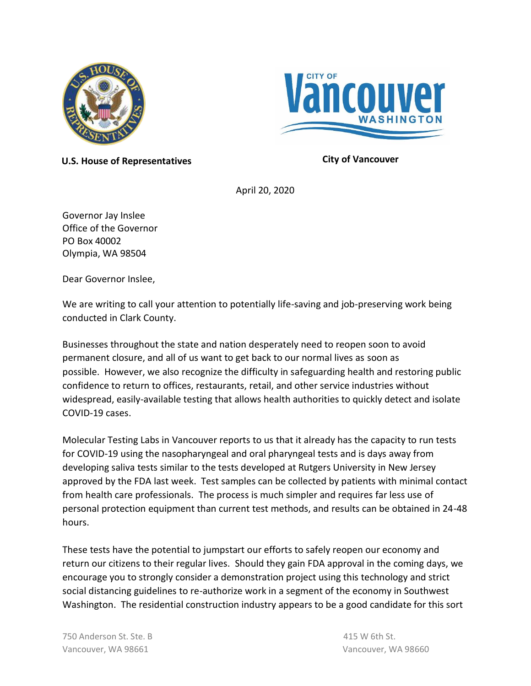



**U.S. House of Representatives City of Vancouver**

April 20, 2020

Governor Jay Inslee Office of the Governor PO Box 40002 Olympia, WA 98504

Dear Governor Inslee,

We are writing to call your attention to potentially life-saving and job-preserving work being conducted in Clark County.

Businesses throughout the state and nation desperately need to reopen soon to avoid permanent closure, and all of us want to get back to our normal lives as soon as possible. However, we also recognize the difficulty in safeguarding health and restoring public confidence to return to offices, restaurants, retail, and other service industries without widespread, easily-available testing that allows health authorities to quickly detect and isolate COVID-19 cases.

Molecular Testing Labs in Vancouver reports to us that it already has the capacity to run tests for COVID-19 using the nasopharyngeal and oral pharyngeal tests and is days away from developing saliva tests similar to the tests developed at Rutgers University in New Jersey approved by the FDA last week. Test samples can be collected by patients with minimal contact from health care professionals. The process is much simpler and requires far less use of personal protection equipment than current test methods, and results can be obtained in 24-48 hours.

These tests have the potential to jumpstart our efforts to safely reopen our economy and return our citizens to their regular lives. Should they gain FDA approval in the coming days, we encourage you to strongly consider a demonstration project using this technology and strict social distancing guidelines to re-authorize work in a segment of the economy in Southwest Washington. The residential construction industry appears to be a good candidate for this sort